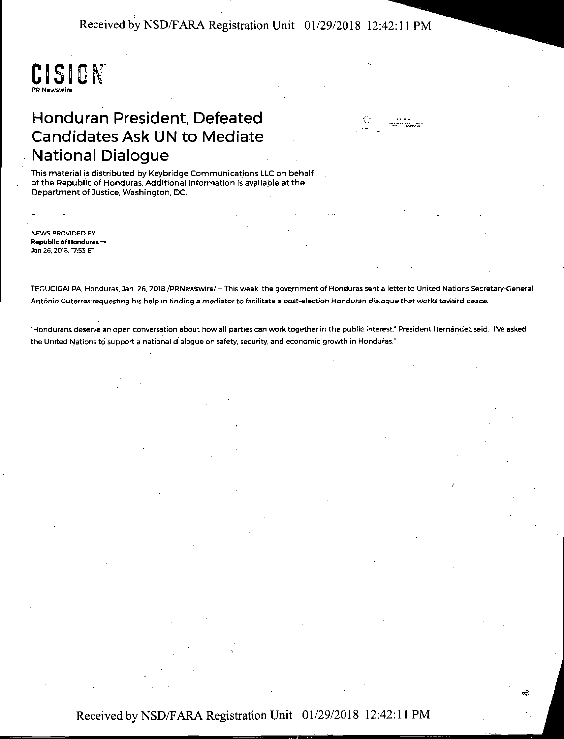Received by NSD/FARA Registration Unit 01/29/2018 12:42: 11 PM



## Honduran President, Defeated Candidates Ask UN to Mediate National Dialogue



This material is distributed by Keybridge Communications LLC on behalf of the Republic of Honduras. Additional information is available at the Department of Justice, Washington, DC. -------·---------- -· ~----· -- ------------------- -----

NEWS PROVIDED BY Republlc of Honduras-Jan 26, 2018.17:53 ET -----------~ -------------

TEGUCIGALPA, Honduras, Jan. 26, 2018 /PRNewswire/ -- This week, the government of Honduras sent a letter to United Nations Secretary-General António Guterres requesting his help in finding a mediator to facilitate a post-election Honduran dialogue that works toward peace.

"Hondurans deserve an open conversation about how all parties can work together in the public interest," President Hernández said. "I've asked the United Nations to support a national dialogue on safety, security, and economic growth in Honduras."